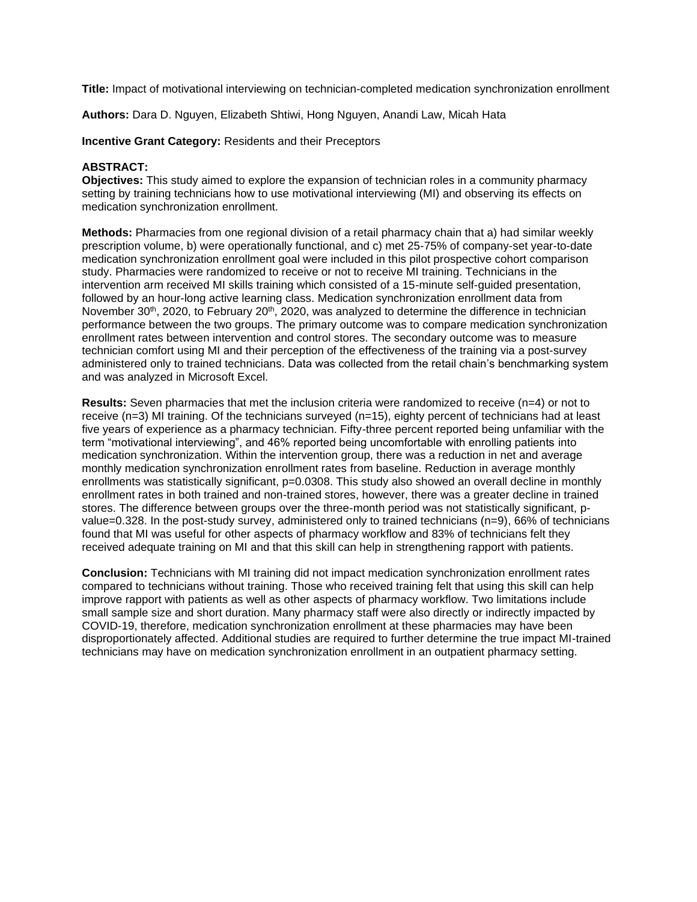**Title:** Impact of motivational interviewing on technician-completed medication synchronization enrollment

**Authors:** Dara D. Nguyen, Elizabeth Shtiwi, Hong Nguyen, Anandi Law, Micah Hata

**Incentive Grant Category:** Residents and their Preceptors

### **ABSTRACT:**

**Objectives:** This study aimed to explore the expansion of technician roles in a community pharmacy setting by training technicians how to use motivational interviewing (MI) and observing its effects on medication synchronization enrollment.

**Methods:** Pharmacies from one regional division of a retail pharmacy chain that a) had similar weekly prescription volume, b) were operationally functional, and c) met 25-75% of company-set year-to-date medication synchronization enrollment goal were included in this pilot prospective cohort comparison study. Pharmacies were randomized to receive or not to receive MI training. Technicians in the intervention arm received MI skills training which consisted of a 15-minute self-guided presentation, followed by an hour-long active learning class. Medication synchronization enrollment data from November 30<sup>th</sup>, 2020, to February 20<sup>th</sup>, 2020, was analyzed to determine the difference in technician performance between the two groups. The primary outcome was to compare medication synchronization enrollment rates between intervention and control stores. The secondary outcome was to measure technician comfort using MI and their perception of the effectiveness of the training via a post-survey administered only to trained technicians. Data was collected from the retail chain's benchmarking system and was analyzed in Microsoft Excel.

**Results:** Seven pharmacies that met the inclusion criteria were randomized to receive (n=4) or not to receive (n=3) MI training. Of the technicians surveyed (n=15), eighty percent of technicians had at least five years of experience as a pharmacy technician. Fifty-three percent reported being unfamiliar with the term "motivational interviewing", and 46% reported being uncomfortable with enrolling patients into medication synchronization. Within the intervention group, there was a reduction in net and average monthly medication synchronization enrollment rates from baseline. Reduction in average monthly enrollments was statistically significant, p=0.0308. This study also showed an overall decline in monthly enrollment rates in both trained and non-trained stores, however, there was a greater decline in trained stores. The difference between groups over the three-month period was not statistically significant, pvalue=0.328. In the post-study survey, administered only to trained technicians (n=9), 66% of technicians found that MI was useful for other aspects of pharmacy workflow and 83% of technicians felt they received adequate training on MI and that this skill can help in strengthening rapport with patients.

**Conclusion:** Technicians with MI training did not impact medication synchronization enrollment rates compared to technicians without training. Those who received training felt that using this skill can help improve rapport with patients as well as other aspects of pharmacy workflow. Two limitations include small sample size and short duration. Many pharmacy staff were also directly or indirectly impacted by COVID-19, therefore, medication synchronization enrollment at these pharmacies may have been disproportionately affected. Additional studies are required to further determine the true impact MI-trained technicians may have on medication synchronization enrollment in an outpatient pharmacy setting.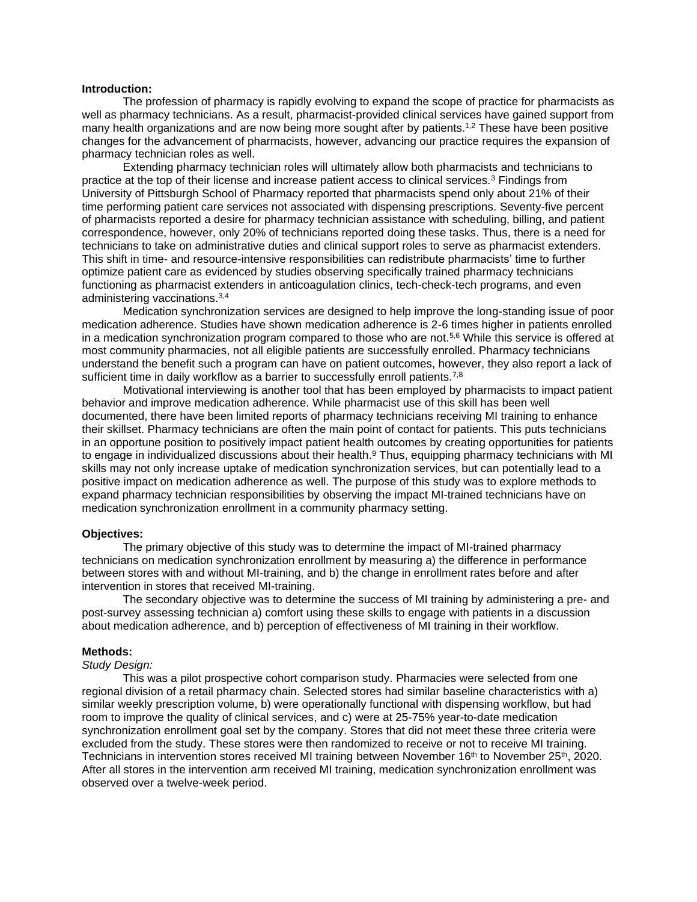### **Introduction:**

The profession of pharmacy is rapidly evolving to expand the scope of practice for pharmacists as well as pharmacy technicians. As a result, pharmacist-provided clinical services have gained support from many health organizations and are now being more sought after by patients.<sup>1,2</sup> These have been positive changes for the advancement of pharmacists, however, advancing our practice requires the expansion of pharmacy technician roles as well.

Extending pharmacy technician roles will ultimately allow both pharmacists and technicians to practice at the top of their license and increase patient access to clinical services.<sup>3</sup> Findings from University of Pittsburgh School of Pharmacy reported that pharmacists spend only about 21% of their time performing patient care services not associated with dispensing prescriptions. Seventy-five percent of pharmacists reported a desire for pharmacy technician assistance with scheduling, billing, and patient correspondence, however, only 20% of technicians reported doing these tasks. Thus, there is a need for technicians to take on administrative duties and clinical support roles to serve as pharmacist extenders. This shift in time- and resource-intensive responsibilities can redistribute pharmacists' time to further optimize patient care as evidenced by studies observing specifically trained pharmacy technicians functioning as pharmacist extenders in anticoagulation clinics, tech-check-tech programs, and even administering vaccinations.3,4

Medication synchronization services are designed to help improve the long-standing issue of poor medication adherence. Studies have shown medication adherence is 2-6 times higher in patients enrolled in a medication synchronization program compared to those who are not.<sup>5,6</sup> While this service is offered at most community pharmacies, not all eligible patients are successfully enrolled. Pharmacy technicians understand the benefit such a program can have on patient outcomes, however, they also report a lack of sufficient time in daily workflow as a barrier to successfully enroll patients.<sup>7,8</sup>

Motivational interviewing is another tool that has been employed by pharmacists to impact patient behavior and improve medication adherence. While pharmacist use of this skill has been well documented, there have been limited reports of pharmacy technicians receiving MI training to enhance their skillset. Pharmacy technicians are often the main point of contact for patients. This puts technicians in an opportune position to positively impact patient health outcomes by creating opportunities for patients to engage in individualized discussions about their health.<sup>9</sup> Thus, equipping pharmacy technicians with MI skills may not only increase uptake of medication synchronization services, but can potentially lead to a positive impact on medication adherence as well. The purpose of this study was to explore methods to expand pharmacy technician responsibilities by observing the impact MI-trained technicians have on medication synchronization enrollment in a community pharmacy setting.

### **Objectives:**

The primary objective of this study was to determine the impact of MI-trained pharmacy technicians on medication synchronization enrollment by measuring a) the difference in performance between stores with and without MI-training, and b) the change in enrollment rates before and after intervention in stores that received MI-training.

The secondary objective was to determine the success of MI training by administering a pre- and post-survey assessing technician a) comfort using these skills to engage with patients in a discussion about medication adherence, and b) perception of effectiveness of MI training in their workflow.

#### **Methods:**

#### *Study Design:*

This was a pilot prospective cohort comparison study. Pharmacies were selected from one regional division of a retail pharmacy chain. Selected stores had similar baseline characteristics with a) similar weekly prescription volume, b) were operationally functional with dispensing workflow, but had room to improve the quality of clinical services, and c) were at 25-75% year-to-date medication synchronization enrollment goal set by the company. Stores that did not meet these three criteria were excluded from the study. These stores were then randomized to receive or not to receive MI training. Technicians in intervention stores received MI training between November 16<sup>th</sup> to November 25<sup>th</sup>, 2020. After all stores in the intervention arm received MI training, medication synchronization enrollment was observed over a twelve-week period.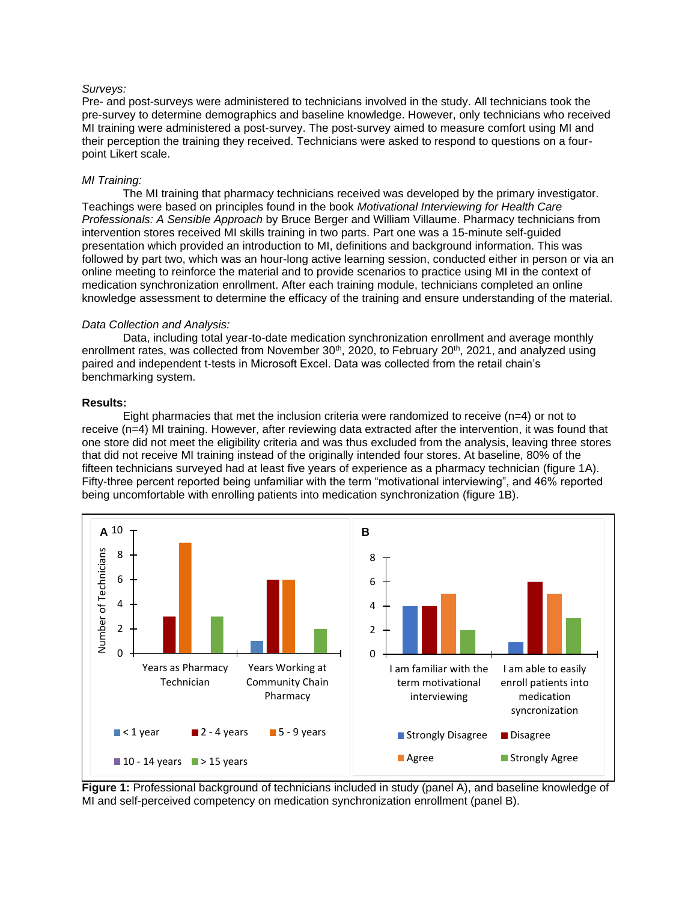### *Surveys:*

Pre- and post-surveys were administered to technicians involved in the study. All technicians took the pre-survey to determine demographics and baseline knowledge. However, only technicians who received MI training were administered a post-survey. The post-survey aimed to measure comfort using MI and their perception the training they received. Technicians were asked to respond to questions on a fourpoint Likert scale.

### *MI Training:*

The MI training that pharmacy technicians received was developed by the primary investigator. Teachings were based on principles found in the book *Motivational Interviewing for Health Care Professionals: A Sensible Approach* by Bruce Berger and William Villaume. Pharmacy technicians from intervention stores received MI skills training in two parts. Part one was a 15-minute self-guided presentation which provided an introduction to MI, definitions and background information. This was followed by part two, which was an hour-long active learning session, conducted either in person or via an online meeting to reinforce the material and to provide scenarios to practice using MI in the context of medication synchronization enrollment. After each training module, technicians completed an online knowledge assessment to determine the efficacy of the training and ensure understanding of the material.

#### *Data Collection and Analysis:*

Data, including total year-to-date medication synchronization enrollment and average monthly enrollment rates, was collected from November 30<sup>th</sup>, 2020, to February 20<sup>th</sup>, 2021, and analyzed using paired and independent t-tests in Microsoft Excel. Data was collected from the retail chain's benchmarking system.

### **Results:**

Eight pharmacies that met the inclusion criteria were randomized to receive (n=4) or not to receive (n=4) MI training. However, after reviewing data extracted after the intervention, it was found that one store did not meet the eligibility criteria and was thus excluded from the analysis, leaving three stores that did not receive MI training instead of the originally intended four stores. At baseline, 80% of the fifteen technicians surveyed had at least five years of experience as a pharmacy technician (figure 1A). Fifty-three percent reported being unfamiliar with the term "motivational interviewing", and 46% reported being uncomfortable with enrolling patients into medication synchronization (figure 1B).



**Figure 1:** Professional background of technicians included in study (panel A), and baseline knowledge of MI and self-perceived competency on medication synchronization enrollment (panel B).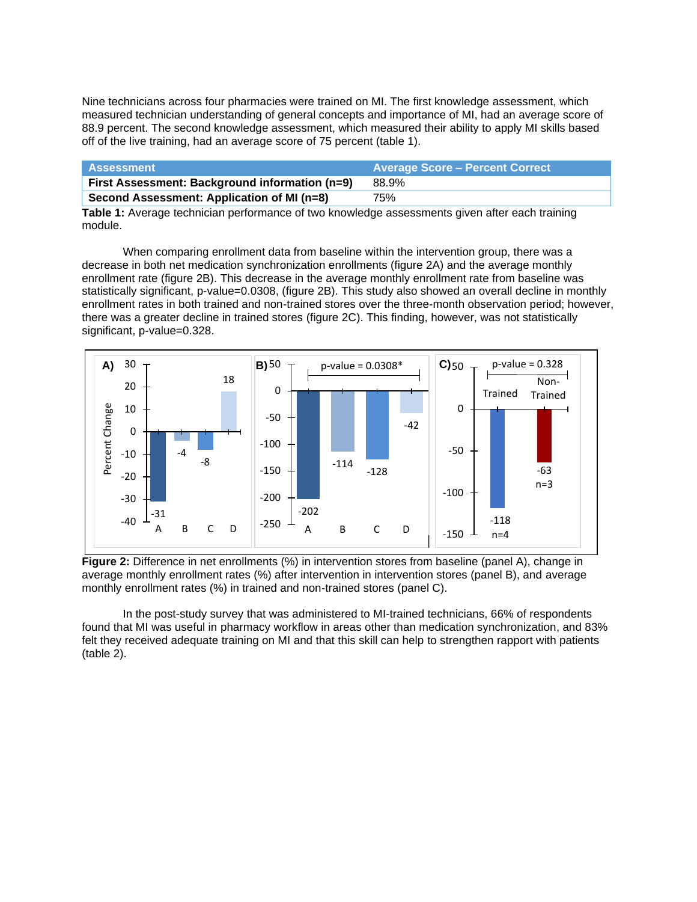Nine technicians across four pharmacies were trained on MI. The first knowledge assessment, which measured technician understanding of general concepts and importance of MI, had an average score of 88.9 percent. The second knowledge assessment, which measured their ability to apply MI skills based off of the live training, had an average score of 75 percent (table 1).

| Assessment                                     | <b>Average Score - Percent Correct</b> |
|------------------------------------------------|----------------------------------------|
| First Assessment: Background information (n=9) | 88.9%                                  |
| Second Assessment: Application of MI (n=8)     | 75%                                    |

**Table 1:** Average technician performance of two knowledge assessments given after each training module.

When comparing enrollment data from baseline within the intervention group, there was a decrease in both net medication synchronization enrollments (figure 2A) and the average monthly enrollment rate (figure 2B). This decrease in the average monthly enrollment rate from baseline was statistically significant, p-value=0.0308, (figure 2B). This study also showed an overall decline in monthly enrollment rates in both trained and non-trained stores over the three-month observation period; however, there was a greater decline in trained stores (figure 2C). This finding, however, was not statistically significant, p-value=0.328.



**Figure 2:** Difference in net enrollments (%) in intervention stores from baseline (panel A), change in average monthly enrollment rates (%) after intervention in intervention stores (panel B), and average monthly enrollment rates (%) in trained and non-trained stores (panel C).

In the post-study survey that was administered to MI-trained technicians, 66% of respondents found that MI was useful in pharmacy workflow in areas other than medication synchronization, and 83% felt they received adequate training on MI and that this skill can help to strengthen rapport with patients (table 2).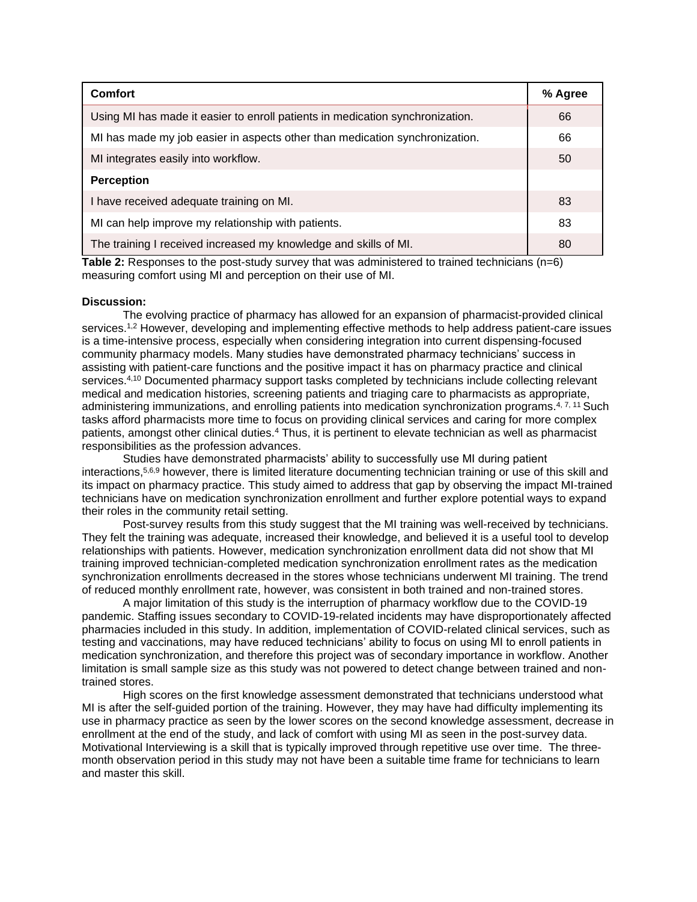| <b>Comfort</b>                                                                |    |
|-------------------------------------------------------------------------------|----|
| Using MI has made it easier to enroll patients in medication synchronization. | 66 |
| MI has made my job easier in aspects other than medication synchronization.   | 66 |
| MI integrates easily into workflow.                                           | 50 |
| <b>Perception</b>                                                             |    |
| I have received adequate training on MI.                                      | 83 |
| MI can help improve my relationship with patients.                            | 83 |
| The training I received increased my knowledge and skills of MI.              | 80 |

**Table 2:** Responses to the post-study survey that was administered to trained technicians (n=6) measuring comfort using MI and perception on their use of MI.

#### **Discussion:**

The evolving practice of pharmacy has allowed for an expansion of pharmacist-provided clinical services.<sup>1,2</sup> However, developing and implementing effective methods to help address patient-care issues is a time-intensive process, especially when considering integration into current dispensing-focused community pharmacy models. Many studies have demonstrated pharmacy technicians' success in assisting with patient-care functions and the positive impact it has on pharmacy practice and clinical services.<sup>4,10</sup> Documented pharmacy support tasks completed by technicians include collecting relevant medical and medication histories, screening patients and triaging care to pharmacists as appropriate, administering immunizations, and enrolling patients into medication synchronization programs.<sup>4, 7, 11</sup> Such tasks afford pharmacists more time to focus on providing clinical services and caring for more complex patients, amongst other clinical duties.<sup>4</sup> Thus, it is pertinent to elevate technician as well as pharmacist responsibilities as the profession advances.

Studies have demonstrated pharmacists' ability to successfully use MI during patient interactions,5,6,9 however, there is limited literature documenting technician training or use of this skill and its impact on pharmacy practice. This study aimed to address that gap by observing the impact MI-trained technicians have on medication synchronization enrollment and further explore potential ways to expand their roles in the community retail setting.

Post-survey results from this study suggest that the MI training was well-received by technicians. They felt the training was adequate, increased their knowledge, and believed it is a useful tool to develop relationships with patients. However, medication synchronization enrollment data did not show that MI training improved technician-completed medication synchronization enrollment rates as the medication synchronization enrollments decreased in the stores whose technicians underwent MI training. The trend of reduced monthly enrollment rate, however, was consistent in both trained and non-trained stores.

A major limitation of this study is the interruption of pharmacy workflow due to the COVID-19 pandemic. Staffing issues secondary to COVID-19-related incidents may have disproportionately affected pharmacies included in this study. In addition, implementation of COVID-related clinical services, such as testing and vaccinations, may have reduced technicians' ability to focus on using MI to enroll patients in medication synchronization, and therefore this project was of secondary importance in workflow. Another limitation is small sample size as this study was not powered to detect change between trained and nontrained stores.

High scores on the first knowledge assessment demonstrated that technicians understood what MI is after the self-guided portion of the training. However, they may have had difficulty implementing its use in pharmacy practice as seen by the lower scores on the second knowledge assessment, decrease in enrollment at the end of the study, and lack of comfort with using MI as seen in the post-survey data. Motivational Interviewing is a skill that is typically improved through repetitive use over time. The threemonth observation period in this study may not have been a suitable time frame for technicians to learn and master this skill.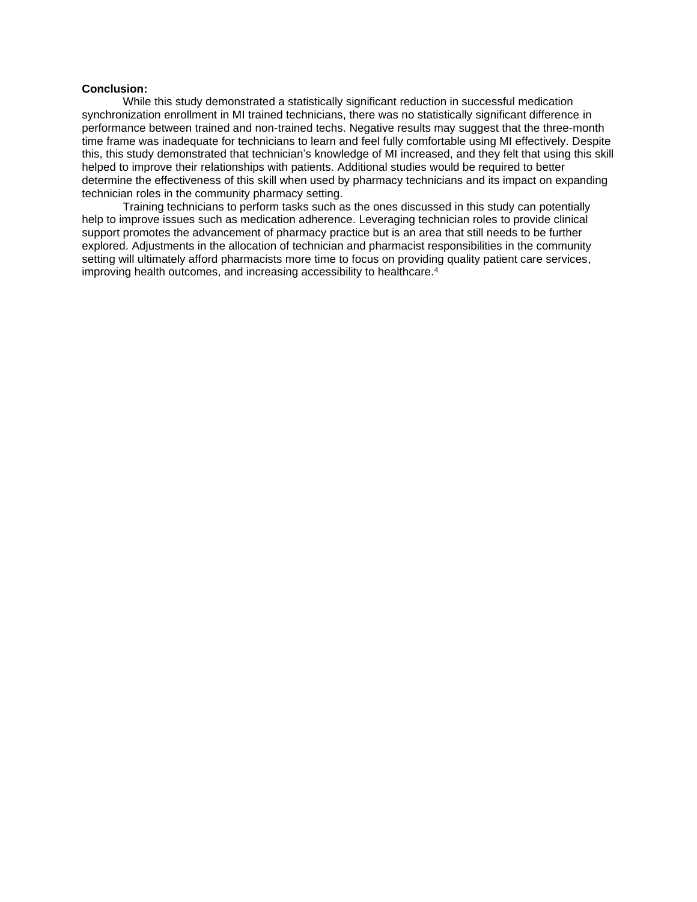## **Conclusion:**

While this study demonstrated a statistically significant reduction in successful medication synchronization enrollment in MI trained technicians, there was no statistically significant difference in performance between trained and non-trained techs. Negative results may suggest that the three-month time frame was inadequate for technicians to learn and feel fully comfortable using MI effectively. Despite this, this study demonstrated that technician's knowledge of MI increased, and they felt that using this skill helped to improve their relationships with patients. Additional studies would be required to better determine the effectiveness of this skill when used by pharmacy technicians and its impact on expanding technician roles in the community pharmacy setting.

Training technicians to perform tasks such as the ones discussed in this study can potentially help to improve issues such as medication adherence. Leveraging technician roles to provide clinical support promotes the advancement of pharmacy practice but is an area that still needs to be further explored. Adjustments in the allocation of technician and pharmacist responsibilities in the community setting will ultimately afford pharmacists more time to focus on providing quality patient care services, improving health outcomes, and increasing accessibility to healthcare.<sup>4</sup>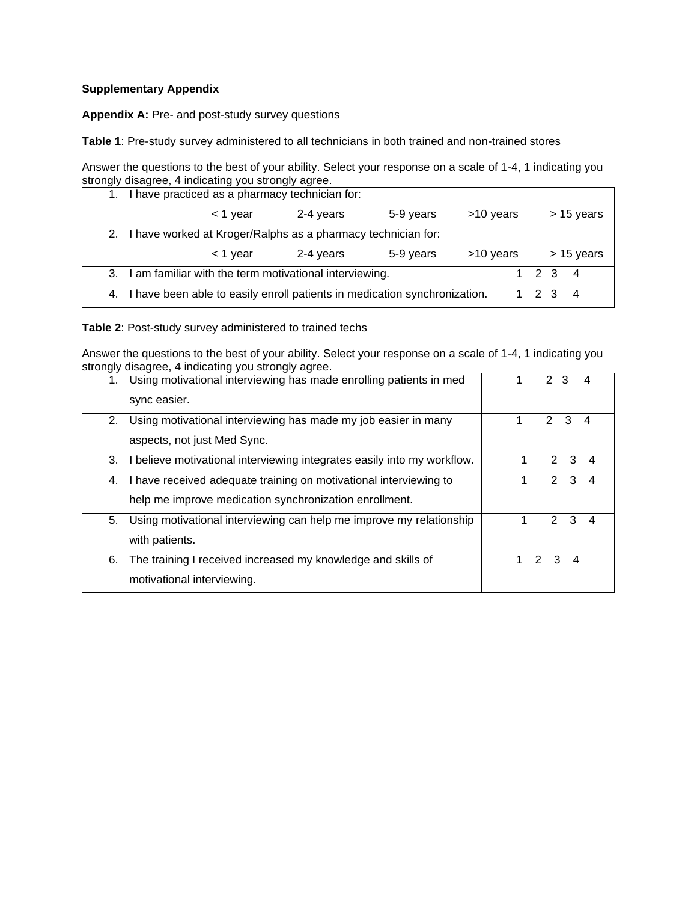# **Supplementary Appendix**

**Appendix A:** Pre- and post-study survey questions

**Table 1**: Pre-study survey administered to all technicians in both trained and non-trained stores

Answer the questions to the best of your ability. Select your response on a scale of 1-4, 1 indicating you strongly disagree, 4 indicating you strongly agree.

| 1.                                                              | I have practiced as a pharmacy technician for:         |           |           |           |            |            |   |
|-----------------------------------------------------------------|--------------------------------------------------------|-----------|-----------|-----------|------------|------------|---|
|                                                                 | $<$ 1 year                                             | 2-4 years | 5-9 years | >10 years | > 15 years |            |   |
| 2. I have worked at Kroger/Ralphs as a pharmacy technician for: |                                                        |           |           |           |            |            |   |
|                                                                 |                                                        |           |           |           |            | > 15 years |   |
|                                                                 | $<$ 1 year                                             | 2-4 years | 5-9 years | >10 years |            |            |   |
| 3.                                                              | I am familiar with the term motivational interviewing. |           |           |           | 1 2 3      |            | 4 |

**Table 2**: Post-study survey administered to trained techs

Answer the questions to the best of your ability. Select your response on a scale of 1-4, 1 indicating you strongly disagree, 4 indicating you strongly agree.

| 1. | Using motivational interviewing has made enrolling patients in med      |   | $\mathcal{P}$ | 3 |   |   |
|----|-------------------------------------------------------------------------|---|---------------|---|---|---|
|    |                                                                         |   |               |   |   |   |
|    | sync easier.                                                            |   |               |   |   |   |
|    |                                                                         |   |               |   |   |   |
| 2. | Using motivational interviewing has made my job easier in many          |   | $\mathcal{P}$ |   | 3 | 4 |
|    |                                                                         |   |               |   |   |   |
|    | aspects, not just Med Sync.                                             |   |               |   |   |   |
| 3. | I believe motivational interviewing integrates easily into my workflow. |   |               | 2 | 3 | 4 |
|    |                                                                         |   |               |   |   |   |
| 4. | I have received adequate training on motivational interviewing to       | 1 |               | 2 | 3 |   |
|    |                                                                         |   |               |   |   |   |
|    | help me improve medication synchronization enrollment.                  |   |               |   |   |   |
| 5. | Using motivational interviewing can help me improve my relationship     |   |               | 2 | 3 | 4 |
|    |                                                                         |   |               |   |   |   |
|    | with patients.                                                          |   |               |   |   |   |
|    |                                                                         |   |               |   |   |   |
| 6. | The training I received increased my knowledge and skills of            |   | 2             | 3 | 4 |   |
|    |                                                                         |   |               |   |   |   |
|    | motivational interviewing.                                              |   |               |   |   |   |
|    |                                                                         |   |               |   |   |   |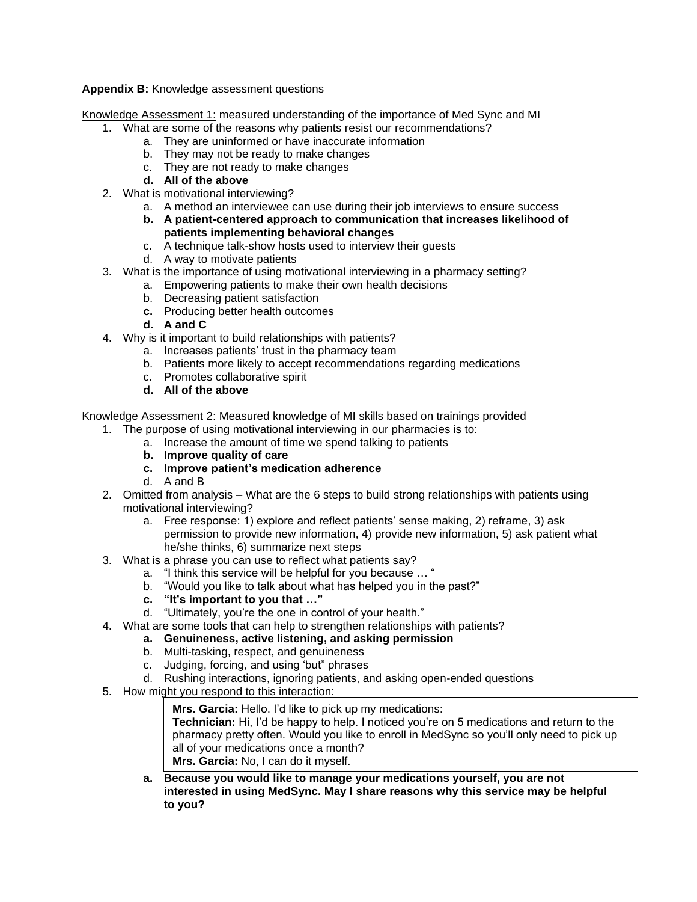**Appendix B:** Knowledge assessment questions

Knowledge Assessment 1: measured understanding of the importance of Med Sync and MI

- 1. What are some of the reasons why patients resist our recommendations?
	- a. They are uninformed or have inaccurate information
	- b. They may not be ready to make changes
	- c. They are not ready to make changes
	- **d. All of the above**
- 2. What is motivational interviewing?
	- a. A method an interviewee can use during their job interviews to ensure success
	- **b. A patient-centered approach to communication that increases likelihood of patients implementing behavioral changes**
	- c. A technique talk-show hosts used to interview their guests
	- d. A way to motivate patients
- 3. What is the importance of using motivational interviewing in a pharmacy setting?
	- a. Empowering patients to make their own health decisions
	- b. Decreasing patient satisfaction
	- **c.** Producing better health outcomes
	- **d. A and C**
- 4. Why is it important to build relationships with patients?
	- a. Increases patients' trust in the pharmacy team
	- b. Patients more likely to accept recommendations regarding medications
	- c. Promotes collaborative spirit
	- **d. All of the above**

Knowledge Assessment 2: Measured knowledge of MI skills based on trainings provided

- 1. The purpose of using motivational interviewing in our pharmacies is to:
	- a. Increase the amount of time we spend talking to patients
		- **b. Improve quality of care**
		- **c. Improve patient's medication adherence**
		- d. A and B
- 2. Omitted from analysis What are the 6 steps to build strong relationships with patients using motivational interviewing?
	- a. Free response: 1) explore and reflect patients' sense making, 2) reframe, 3) ask permission to provide new information, 4) provide new information, 5) ask patient what he/she thinks, 6) summarize next steps
- 3. What is a phrase you can use to reflect what patients say?
	- a. "I think this service will be helpful for you because … "
	- b. "Would you like to talk about what has helped you in the past?"
	- **c. "It's important to you that …"**
	- d. "Ultimately, you're the one in control of your health."
- 4. What are some tools that can help to strengthen relationships with patients?
	- **a. Genuineness, active listening, and asking permission**
	- b. Multi-tasking, respect, and genuineness
	- c. Judging, forcing, and using 'but" phrases
	- d. Rushing interactions, ignoring patients, and asking open-ended questions
- 5. How might you respond to this interaction:
	- **Mrs. Garcia:** Hello. I'd like to pick up my medications: **Technician:** Hi, I'd be happy to help. I noticed you're on 5 medications and return to the

pharmacy pretty often. Would you like to enroll in MedSync so you'll only need to pick up all of your medications once a month? **Mrs. Garcia:** No, I can do it myself.

**a. Because you would like to manage your medications yourself, you are not interested in using MedSync. May I share reasons why this service may be helpful to you?**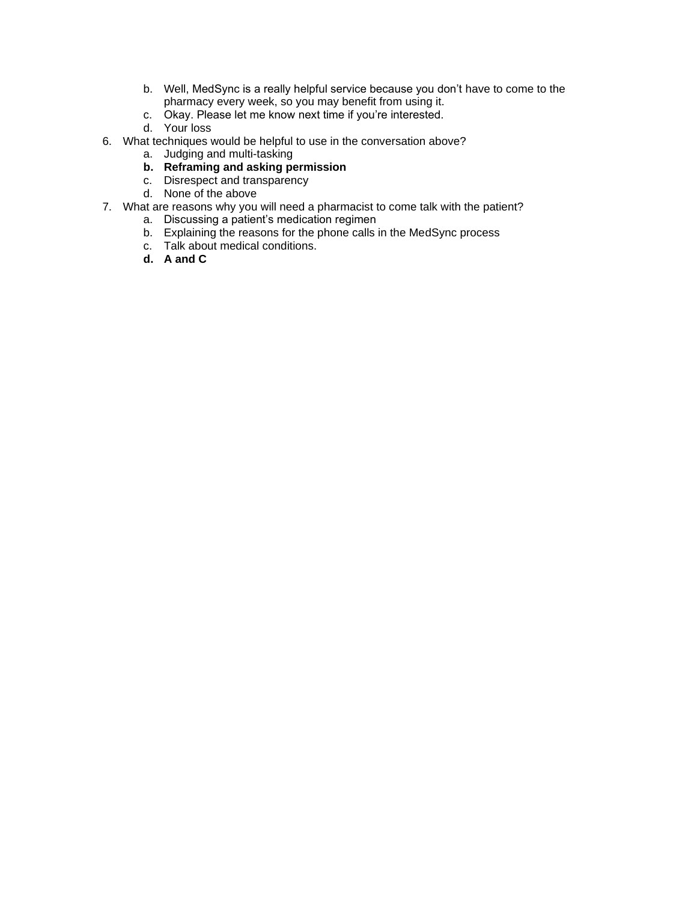- b. Well, MedSync is a really helpful service because you don't have to come to the pharmacy every week, so you may benefit from using it.
- c. Okay. Please let me know next time if you're interested.
- d. Your loss
- 6. What techniques would be helpful to use in the conversation above?
	- a. Judging and multi-tasking
	- **b. Reframing and asking permission**
	- c. Disrespect and transparency
	- d. None of the above
- 7. What are reasons why you will need a pharmacist to come talk with the patient?
	- a. Discussing a patient's medication regimen
	- b. Explaining the reasons for the phone calls in the MedSync process
	- c. Talk about medical conditions.
	- **d. A and C**